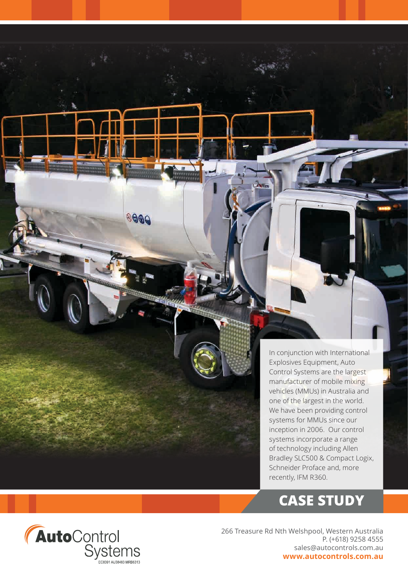In conjunction with International Explosives Equipment, Auto Control Systems are the largest manufacturer of mobile mixing vehicles (MMUs) in Australia and one of the largest in the world. We have been providing control systems for MMUs since our inception in 2006. Our control systems incorporate a range of technology including Allen Bradley SLC500 & Compact Logix, Schneider Proface and, more recently, IFM R360.

# **CASE STUDY**



8000

266 Treasure Rd Nth Welshpool, Western Australia P. (+618) 9258 4555 sales@autocontrols.com.au **www.autocontrols.com.au**